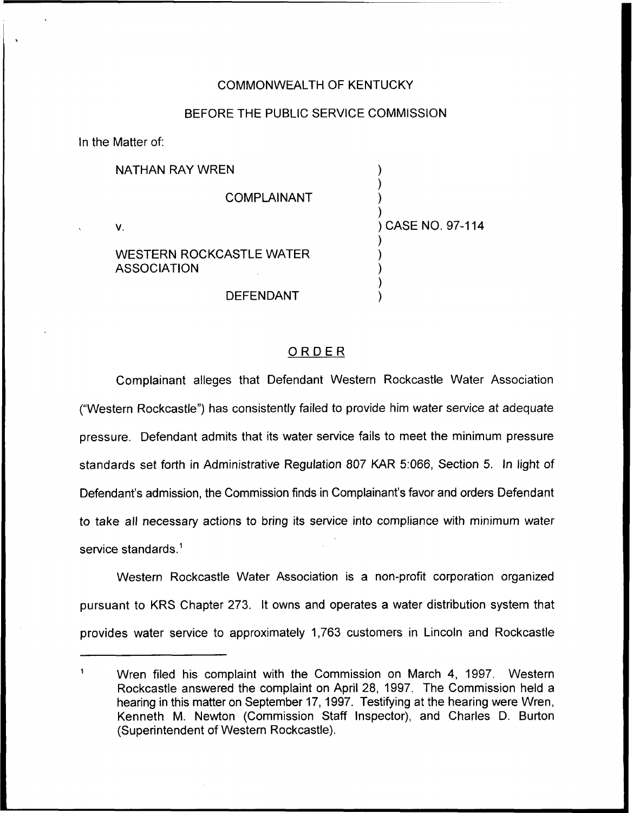## COMMONWEALTH OF KENTUCKY

## BEFORE THE PUBLIC SERVICE COMMISSION

In the Matter of:

|    | <b>NATHAN RAY WREN</b>                         |                   |
|----|------------------------------------------------|-------------------|
|    | <b>COMPLAINANT</b>                             |                   |
| ν. |                                                | ) CASE NO. 97-114 |
|    | WESTERN ROCKCASTLE WATER<br><b>ASSOCIATION</b> |                   |
|    | <b>DEFENDANT</b>                               |                   |

## ORDER

Complainant alleges that Defendant Western Rockcastle Water Association ("Western Rockcastle") has consistently failed to provide him water service at adequate pressure. Defendant admits that its water service fails to meet the minimum pressure standards set forth in Administrative Regulation 807 KAR 5:066, Section 5. In light of Defendant's admission, the Commission finds in Complainant's favor and orders Defendant to take all necessary actions to bring its service into compliance with minimum water service standards.<sup>1</sup>

Western Rockcastle Water Association is a non-profit corporation organized pursuant to KRS Chapter 273. It owns and operates a water distribution system that provides water service to approximately 1,763 customers in Lincoln and Rockcastle

 $\mathbf{1}$ Wren filed his complaint with the Commission on March 4, 1997. Western Rockcastle answered the complaint on April 28, 1997. The Commission held a hearing in this matter on September 17, 1997. Testifying at the hearing were Wren, Kenneth M. Newton (Commission Staff Inspector), and Charles D. Burton (Superintendent of Western Rockcastle).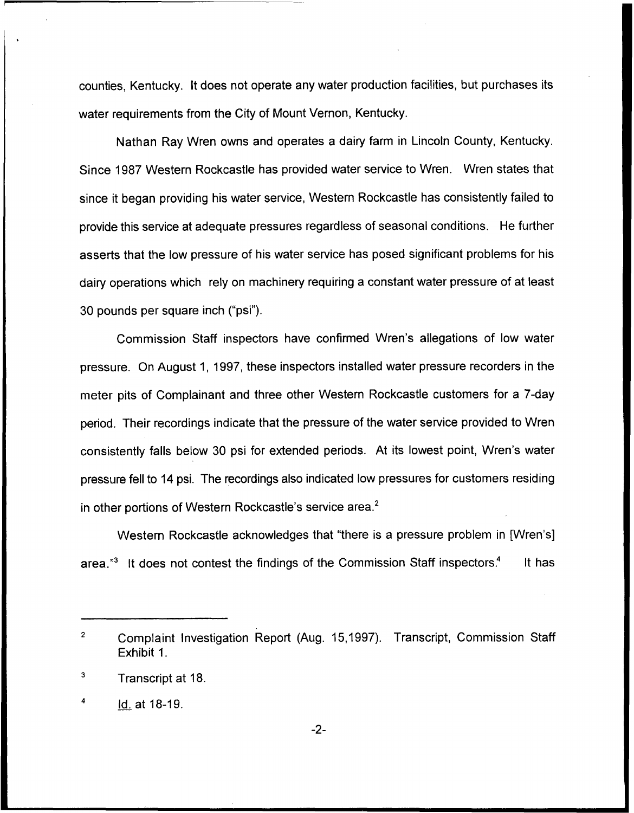counties, Kentucky. It does not operate any water production facilities, but purchases its water requirements from the City of Mount Vernon, Kentucky.

Nathan Ray Wren owns and operates a dairy farm in Lincoln County, Kentucky. Since 1987 Western Rockcastle has provided water service to Wren. Wren states that since it began providing his water service, Western Rockcastle has consistently failed to provide this service at adequate pressures regardless of seasonal conditions. He further asserts that the low pressure of his water service has posed significant problems for his dairy operations which rely on machinery requiring a constant water pressure of at least 30 pounds per square inch ("psi").

Commission Staff inspectors have confirmed Wren's allegations of low water pressure. On August 1, 1997, these inspectors installed water pressure recorders in the meter pits of Complainant and three other Western Rockcastle customers for a 7-day period. Their recordings indicate that the pressure of the water service provided to Wren consistently falls below 30 psi for extended periods. At its lowest point, Wren's water pressure fell to 14 psi. The recordings also indicated low pressures for customers residing in other portions of Western Rockcastle's service area.<sup>2</sup>

Western Rockcastle acknowledges that "there is a pressure problem in [Wren's] area. $^{\prime\prime}$  It does not contest the findings of the Commission Staff inspectors.<sup>4</sup> It has

 $\overline{2}$ Complaint Investigation Report (Aug. 15,1997). Transcript, Commission Staff Exhibit 1.

Transcript at 18.

ld. at 18-19.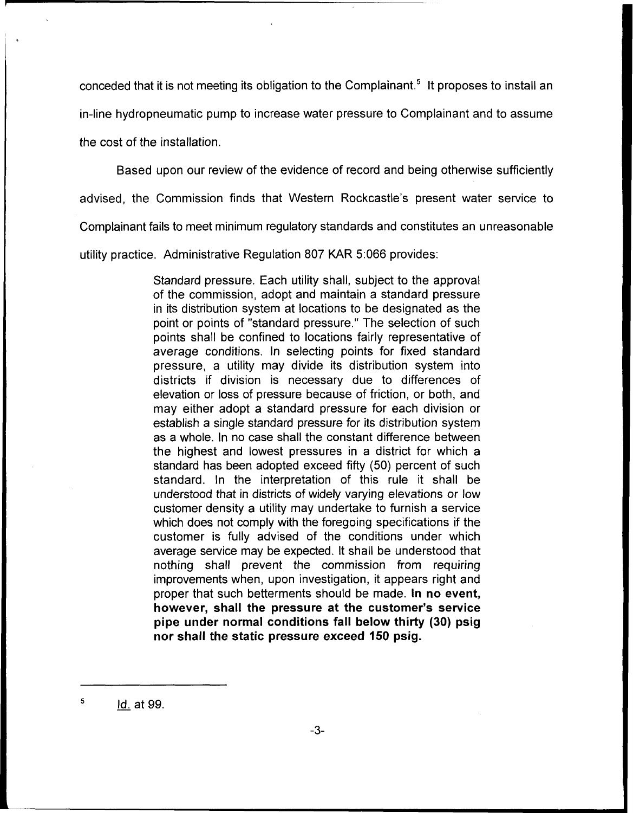conceded that it is not meeting its obligation to the Complainant.<sup>5</sup> It proposes to install an

in-line hydropneumatic pump to increase water pressure to Complainant and to assume

the cost of the installation.

Based upon our review of the evidence of record and being otherwise sufficiently

advised, the Commission finds that Western Rockcastle's present water service to

Complainant fails to meet minimum regulatory standards and constitutes an unreasonable

utility practice. Administrative Regulation 807 KAR 5:066 provides:

Standard pressure. Each utility shall, subject to the approval of the commission, adopt and maintain a standard pressure in its distribution system at locations to be designated as the point or points of "standard pressure." The selection of such points shall be confined to locations fairly representative of average conditions. In selecting points for fixed standard pressure, a utility may divide its distribution system into districts if division is necessary due to differences of elevation or loss of pressure because of friction, or both, and may either adopt a standard pressure for each division or establish a single standard pressure for its distribution system as a whole. In no case shall the constant difference between the highest and lowest pressures in a district for which a standard has been adopted exceed fifty (50) percent of such standard. In the interpretation of this rule it shall be understood that in districts of widely varying elevations or low customer density a utility may undertake to furnish a service which does not comply with the foregoing specifications if the customer is fully advised of the conditions under which average service may be expected. It shall be understood that nothing shall prevent the commission from requiring improvements when, upon investigation, it appears right and proper that such betterments should be made. In no event, however, shall the pressure at the customer's service pipe under normal conditions fall below thirty (30) psig nor shall the static pressure exceed 150 psig.

5 Id. at 99.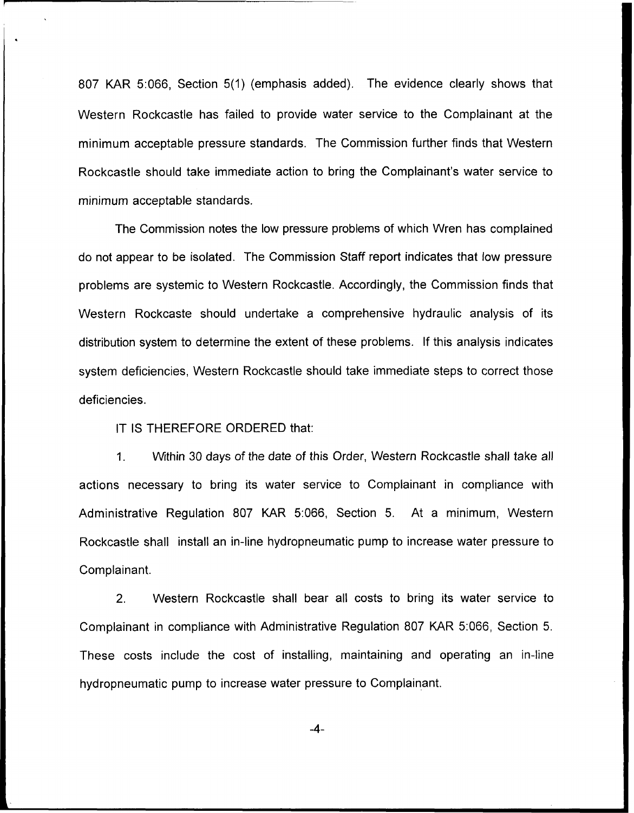807 KAR 5:066, Section 5(1) (emphasis added). The evidence clearly shows that Western Rockcastle has failed to provide water service to the Complainant at the minimum acceptable pressure standards. The Commission further finds that Western Rockcastle should take immediate action to bring the Complainant's water service to minimum acceptable standards.

The Commission notes the low pressure problems of which Wren has complained do not appear to be isolated. The Commission Staff report indicates that low pressure problems are systemic to Western Rockcastle. Accordingly, the Commission finds that Western Rockcaste should undertake a comprehensive hydraulic analysis of its distribution system to determine the extent of these problems. If this analysis indicates system deficiencies, Western Rockcastle should take immediate steps to correct those deficiencies.

IT IS THEREFORE ORDERED that:

 $1<sub>1</sub>$ Within 30 days of the date of this Order, Western Rockcastle shall take all actions necessary to bring its water service to Complainant in compliance with Administrative Regulation 807 KAR 5:066, Section 5. At a minimum, Western Rockcastle shall install an in-line hydropneumatic pump to increase water pressure to Complainant.

2. Western Rockcastle shall bear all costs to bring its water service to Complainant in compliance with Administrative Regulation 807 KAR 5:066, Section 5. These costs include the cost of installing, maintaining and operating an in-line hydropneumatic pump to increase water pressure to Complainant.

 $-4-$